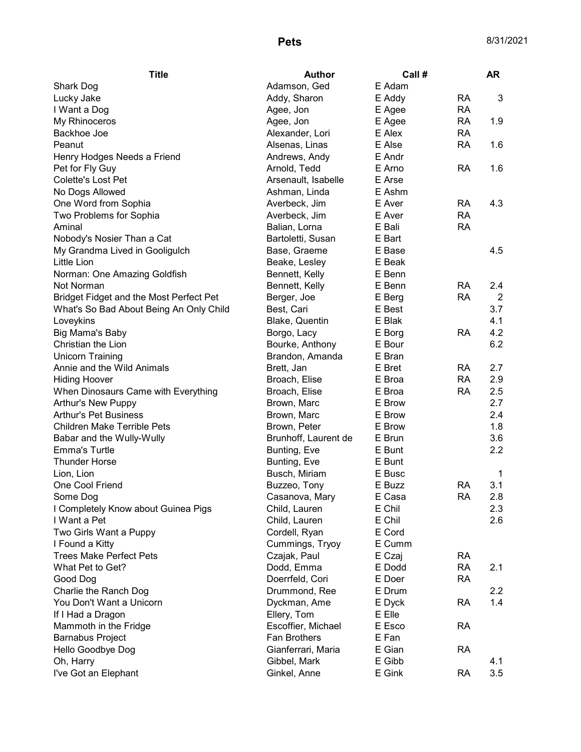| <b>Title</b>                            | <b>Author</b>        | Call # |           | <b>AR</b>      |
|-----------------------------------------|----------------------|--------|-----------|----------------|
| Shark Dog                               | Adamson, Ged         | E Adam |           |                |
| Lucky Jake                              | Addy, Sharon         | E Addy | <b>RA</b> | 3              |
| I Want a Dog                            | Agee, Jon            | E Agee | <b>RA</b> |                |
| My Rhinoceros                           | Agee, Jon            | E Agee | <b>RA</b> | 1.9            |
| Backhoe Joe                             | Alexander, Lori      | E Alex | <b>RA</b> |                |
| Peanut                                  | Alsenas, Linas       | E Alse | <b>RA</b> | 1.6            |
| Henry Hodges Needs a Friend             | Andrews, Andy        | E Andr |           |                |
| Pet for Fly Guy                         | Arnold, Tedd         | E Arno | <b>RA</b> | 1.6            |
| Colette's Lost Pet                      | Arsenault, Isabelle  | E Arse |           |                |
| No Dogs Allowed                         | Ashman, Linda        | E Ashm |           |                |
| One Word from Sophia                    | Averbeck, Jim        | E Aver | <b>RA</b> | 4.3            |
| Two Problems for Sophia                 | Averbeck, Jim        | E Aver | <b>RA</b> |                |
| Aminal                                  | Balian, Lorna        | E Bali | <b>RA</b> |                |
| Nobody's Nosier Than a Cat              | Bartoletti, Susan    | E Bart |           |                |
| My Grandma Lived in Gooligulch          | Base, Graeme         | E Base |           | 4.5            |
| Little Lion                             | Beake, Lesley        | E Beak |           |                |
| Norman: One Amazing Goldfish            | Bennett, Kelly       | E Benn |           |                |
| Not Norman                              | Bennett, Kelly       | E Benn | <b>RA</b> | 2.4            |
| Bridget Fidget and the Most Perfect Pet | Berger, Joe          | E Berg | <b>RA</b> | $\overline{2}$ |
| What's So Bad About Being An Only Child | Best, Cari           | E Best |           | 3.7            |
| Loveykins                               | Blake, Quentin       | E Blak |           | 4.1            |
| Big Mama's Baby                         | Borgo, Lacy          | E Borg | <b>RA</b> | 4.2            |
| Christian the Lion                      | Bourke, Anthony      | E Bour |           | 6.2            |
| <b>Unicorn Training</b>                 | Brandon, Amanda      | E Bran |           |                |
| Annie and the Wild Animals              | Brett, Jan           | E Bret | <b>RA</b> | 2.7            |
| <b>Hiding Hoover</b>                    | Broach, Elise        | E Broa | <b>RA</b> | 2.9            |
| When Dinosaurs Came with Everything     | Broach, Elise        | E Broa | <b>RA</b> | 2.5            |
| Arthur's New Puppy                      | Brown, Marc          | E Brow |           | 2.7            |
| <b>Arthur's Pet Business</b>            | Brown, Marc          | E Brow |           | 2.4            |
| <b>Children Make Terrible Pets</b>      | Brown, Peter         | E Brow |           | 1.8            |
| Babar and the Wully-Wully               | Brunhoff, Laurent de | E Brun |           | 3.6            |
| <b>Emma's Turtle</b>                    | Bunting, Eve         | E Bunt |           | 2.2            |
| <b>Thunder Horse</b>                    | Bunting, Eve         | E Bunt |           |                |
| Lion, Lion                              | Busch, Miriam        | E Busc |           | 1              |
| One Cool Friend                         | Buzzeo, Tony         | E Buzz | <b>RA</b> | 3.1            |
| Some Dog                                | Casanova, Mary       | E Casa | <b>RA</b> | 2.8            |
| I Completely Know about Guinea Pigs     | Child, Lauren        | E Chil |           | 2.3            |
| I Want a Pet                            | Child, Lauren        | E Chil |           | 2.6            |
| Two Girls Want a Puppy                  | Cordell, Ryan        | E Cord |           |                |
| I Found a Kitty                         | Cummings, Tryoy      | E Cumm |           |                |
| <b>Trees Make Perfect Pets</b>          | Czajak, Paul         | E Czaj | <b>RA</b> |                |
| What Pet to Get?                        | Dodd, Emma           | E Dodd | <b>RA</b> | 2.1            |
| Good Dog                                | Doerrfeld, Cori      | E Doer | <b>RA</b> |                |
| Charlie the Ranch Dog                   | Drummond, Ree        | E Drum |           | 2.2            |
| You Don't Want a Unicorn                | Dyckman, Ame         | E Dyck | <b>RA</b> | 1.4            |
| If I Had a Dragon                       | Ellery, Tom          | E Elle |           |                |
| Mammoth in the Fridge                   | Escoffier, Michael   | E Esco | <b>RA</b> |                |
| <b>Barnabus Project</b>                 | Fan Brothers         | E Fan  |           |                |
| Hello Goodbye Dog                       | Gianferrari, Maria   | E Gian | <b>RA</b> |                |
| Oh, Harry                               | Gibbel, Mark         | E Gibb |           | 4.1            |
| I've Got an Elephant                    | Ginkel, Anne         | E Gink | <b>RA</b> | 3.5            |
|                                         |                      |        |           |                |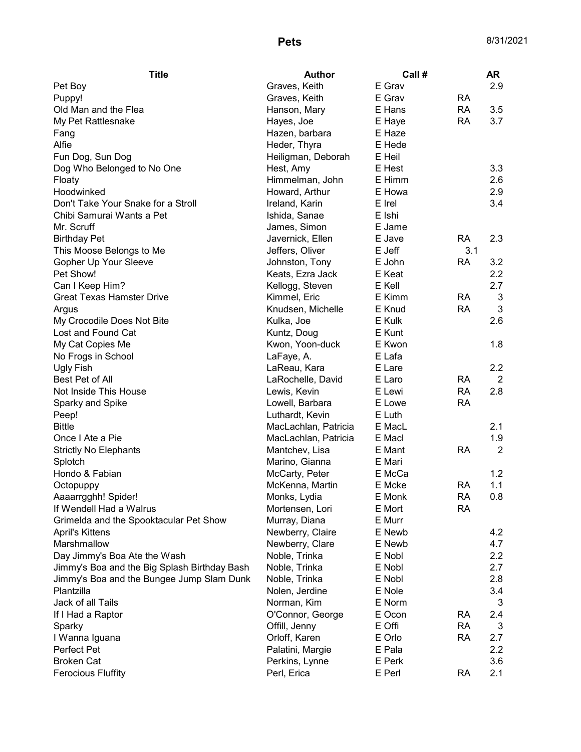| <b>Title</b>                                 | <b>Author</b>                    | Call # |           | <b>AR</b>      |
|----------------------------------------------|----------------------------------|--------|-----------|----------------|
| Pet Boy                                      | Graves, Keith                    | E Grav |           | 2.9            |
| Puppy!                                       | Graves, Keith                    | E Grav | <b>RA</b> |                |
| Old Man and the Flea                         | Hanson, Mary                     | E Hans | <b>RA</b> | 3.5            |
| My Pet Rattlesnake                           | Hayes, Joe                       | E Haye | <b>RA</b> | 3.7            |
| Fang                                         | Hazen, barbara                   | E Haze |           |                |
| Alfie                                        | Heder, Thyra                     | E Hede |           |                |
| Fun Dog, Sun Dog                             | Heiligman, Deborah               | E Heil |           |                |
| Dog Who Belonged to No One                   | Hest, Amy                        | E Hest |           | 3.3            |
| Floaty                                       | Himmelman, John                  | E Himm |           | 2.6            |
| Hoodwinked                                   | Howard, Arthur                   | E Howa |           | 2.9            |
| Don't Take Your Snake for a Stroll           | Ireland, Karin                   | E Irel |           | 3.4            |
| Chibi Samurai Wants a Pet                    | Ishida, Sanae                    | E Ishi |           |                |
| Mr. Scruff                                   | James, Simon                     | E Jame |           |                |
| <b>Birthday Pet</b>                          | Javernick, Ellen                 | E Jave | <b>RA</b> | 2.3            |
| This Moose Belongs to Me                     | Jeffers, Oliver                  | E Jeff | 3.1       |                |
| Gopher Up Your Sleeve                        | Johnston, Tony                   | E John | <b>RA</b> | 3.2            |
| Pet Show!                                    | Keats, Ezra Jack                 | E Keat |           | 2.2            |
| Can I Keep Him?                              | Kellogg, Steven                  | E Kell |           | 2.7            |
| <b>Great Texas Hamster Drive</b>             | Kimmel, Eric                     | E Kimm | <b>RA</b> | 3              |
| Argus                                        | Knudsen, Michelle                | E Knud | <b>RA</b> | 3              |
| My Crocodile Does Not Bite                   | Kulka, Joe                       | E Kulk |           | 2.6            |
| Lost and Found Cat                           | Kuntz, Doug                      | E Kunt |           |                |
| My Cat Copies Me                             | Kwon, Yoon-duck                  | E Kwon |           | 1.8            |
| No Frogs in School                           | LaFaye, A.                       | E Lafa |           |                |
| Ugly Fish                                    | LaReau, Kara                     | E Lare |           | 2.2            |
| Best Pet of All                              | LaRochelle, David                | E Laro | <b>RA</b> | $\overline{2}$ |
| Not Inside This House                        | Lewis, Kevin                     | E Lewi | <b>RA</b> | 2.8            |
| Sparky and Spike                             | Lowell, Barbara                  | E Lowe | <b>RA</b> |                |
| Peep!                                        | Luthardt, Kevin                  | E Luth |           |                |
| <b>Bittle</b>                                | MacLachlan, Patricia             | E MacL |           | 2.1            |
| Once I Ate a Pie                             | MacLachlan, Patricia             | E Macl |           | 1.9            |
|                                              |                                  | E Mant | <b>RA</b> | $\overline{2}$ |
| <b>Strictly No Elephants</b>                 | Mantchev, Lisa<br>Marino, Gianna |        |           |                |
| Splotch                                      |                                  | E Mari |           |                |
| Hondo & Fabian                               | McCarty, Peter                   | E McCa |           | 1.2            |
| Octopuppy                                    | McKenna, Martin                  | E Mcke | <b>RA</b> | 1.1            |
| Aaaarrgghh! Spider!                          | Monks, Lydia                     | E Monk | <b>RA</b> | 0.8            |
| If Wendell Had a Walrus                      | Mortensen, Lori                  | E Mort | <b>RA</b> |                |
| Grimelda and the Spooktacular Pet Show       | Murray, Diana                    | E Murr |           |                |
| <b>April's Kittens</b>                       | Newberry, Claire                 | E Newb |           | 4.2            |
| Marshmallow                                  | Newberry, Clare                  | E Newb |           | 4.7            |
| Day Jimmy's Boa Ate the Wash                 | Noble, Trinka                    | E Nobl |           | 2.2            |
| Jimmy's Boa and the Big Splash Birthday Bash | Noble, Trinka                    | E Nobl |           | 2.7            |
| Jimmy's Boa and the Bungee Jump Slam Dunk    | Noble, Trinka                    | E Nobl |           | 2.8            |
| Plantzilla                                   | Nolen, Jerdine                   | E Nole |           | 3.4            |
| Jack of all Tails                            | Norman, Kim                      | E Norm |           | 3              |
| If I Had a Raptor                            | O'Connor, George                 | E Ocon | <b>RA</b> | 2.4            |
| Sparky                                       | Offill, Jenny                    | E Offi | <b>RA</b> | 3              |
| I Wanna Iguana                               | Orloff, Karen                    | E Orlo | <b>RA</b> | 2.7            |
| Perfect Pet                                  | Palatini, Margie                 | E Pala |           | 2.2            |
| <b>Broken Cat</b>                            | Perkins, Lynne                   | E Perk |           | 3.6            |
| <b>Ferocious Fluffity</b>                    | Perl, Erica                      | E Perl | <b>RA</b> | 2.1            |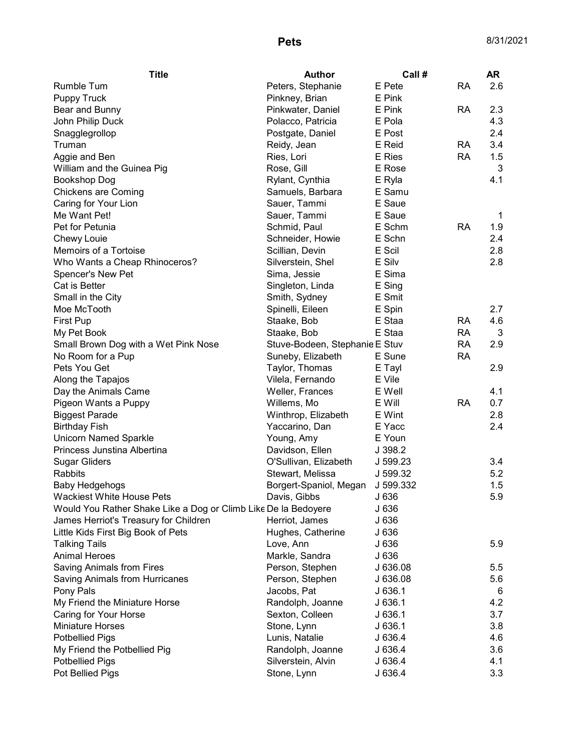| <b>Title</b>                                                   | <b>Author</b>                  | Call #    |           | <b>AR</b>  |
|----------------------------------------------------------------|--------------------------------|-----------|-----------|------------|
| <b>Rumble Tum</b>                                              | Peters, Stephanie              | E Pete    | <b>RA</b> | 2.6        |
| <b>Puppy Truck</b>                                             | Pinkney, Brian                 | E Pink    |           |            |
| Bear and Bunny                                                 | Pinkwater, Daniel              | E Pink    | <b>RA</b> | 2.3        |
| John Philip Duck                                               | Polacco, Patricia              | E Pola    |           | 4.3        |
| Snagglegrollop                                                 | Postgate, Daniel               | E Post    |           | 2.4        |
| Truman                                                         | Reidy, Jean                    | E Reid    | <b>RA</b> | 3.4        |
| Aggie and Ben                                                  | Ries, Lori                     | E Ries    | <b>RA</b> | 1.5        |
| William and the Guinea Pig                                     | Rose, Gill                     | E Rose    |           | 3          |
| <b>Bookshop Dog</b>                                            | Rylant, Cynthia                | E Ryla    |           | 4.1        |
| <b>Chickens are Coming</b>                                     | Samuels, Barbara               | E Samu    |           |            |
| Caring for Your Lion                                           | Sauer, Tammi                   | E Saue    |           |            |
| Me Want Pet!                                                   | Sauer, Tammi                   | E Saue    |           | 1          |
| Pet for Petunia                                                | Schmid, Paul                   | E Schm    | RA        | 1.9        |
| Chewy Louie                                                    | Schneider, Howie               | E Schn    |           | 2.4        |
| Memoirs of a Tortoise                                          | Scillian, Devin                | E Scil    |           | 2.8        |
| Who Wants a Cheap Rhinoceros?                                  | Silverstein, Shel              | E Silv    |           | 2.8        |
| Spencer's New Pet                                              | Sima, Jessie                   | E Sima    |           |            |
| <b>Cat is Better</b>                                           | Singleton, Linda               | E Sing    |           |            |
| Small in the City                                              | Smith, Sydney                  | E Smit    |           |            |
| Moe McTooth                                                    | Spinelli, Eileen               | E Spin    |           | 2.7        |
| <b>First Pup</b>                                               | Staake, Bob                    | E Staa    | RA        | 4.6        |
| My Pet Book                                                    | Staake, Bob                    | E Staa    | <b>RA</b> | 3          |
| Small Brown Dog with a Wet Pink Nose                           | Stuve-Bodeen, Stephanie E Stuv |           | <b>RA</b> | 2.9        |
| No Room for a Pup                                              | Suneby, Elizabeth              | E Sune    | <b>RA</b> |            |
| Pets You Get                                                   | Taylor, Thomas                 | E Tayl    |           | 2.9        |
| Along the Tapajos                                              | Vilela, Fernando               | E Vile    |           |            |
| Day the Animals Came                                           | Weller, Frances                | E Well    |           | 4.1        |
| Pigeon Wants a Puppy                                           | Willems, Mo                    | E Will    | <b>RA</b> | 0.7        |
| <b>Biggest Parade</b>                                          | Winthrop, Elizabeth            | E Wint    |           | 2.8        |
| <b>Birthday Fish</b>                                           | Yaccarino, Dan                 | E Yacc    |           | 2.4        |
| <b>Unicorn Named Sparkle</b>                                   | Young, Amy                     | E Youn    |           |            |
| Princess Junstina Albertina                                    | Davidson, Ellen                | J 398.2   |           |            |
| <b>Sugar Gliders</b>                                           | O'Sullivan, Elizabeth          | J 599.23  |           | 3.4        |
| <b>Rabbits</b>                                                 | Stewart, Melissa               | J 599.32  |           | 5.2        |
| Baby Hedgehogs                                                 | Borgert-Spaniol, Megan         | J 599.332 |           | 1.5        |
| Wackiest White House Pets                                      | Davis, Gibbs                   | J 636     |           | 5.9        |
| Would You Rather Shake Like a Dog or Climb Like De la Bedoyere |                                | J 636     |           |            |
| James Herriot's Treasury for Children                          | Herriot, James                 | J 636     |           |            |
| Little Kids First Big Book of Pets                             | Hughes, Catherine              | J 636     |           |            |
| <b>Talking Tails</b>                                           | Love, Ann                      | J 636     |           | 5.9        |
| <b>Animal Heroes</b>                                           | Markle, Sandra                 | J 636     |           |            |
| Saving Animals from Fires                                      | Person, Stephen                | J 636.08  |           | 5.5        |
| Saving Animals from Hurricanes                                 | Person, Stephen                | J 636.08  |           | 5.6        |
|                                                                | Jacobs, Pat                    | J636.1    |           | 6          |
| Pony Pals                                                      |                                | J636.1    |           |            |
| My Friend the Miniature Horse                                  | Randolph, Joanne               |           |           | 4.2<br>3.7 |
| Caring for Your Horse                                          | Sexton, Colleen                | J636.1    |           |            |
| <b>Miniature Horses</b>                                        | Stone, Lynn                    | J636.1    |           | 3.8        |
| <b>Potbellied Pigs</b>                                         | Lunis, Natalie                 | J 636.4   |           | 4.6        |
| My Friend the Potbellied Pig                                   | Randolph, Joanne               | J 636.4   |           | 3.6        |
| <b>Potbellied Pigs</b>                                         | Silverstein, Alvin             | J 636.4   |           | 4.1        |
| Pot Bellied Pigs                                               | Stone, Lynn                    | J 636.4   |           | 3.3        |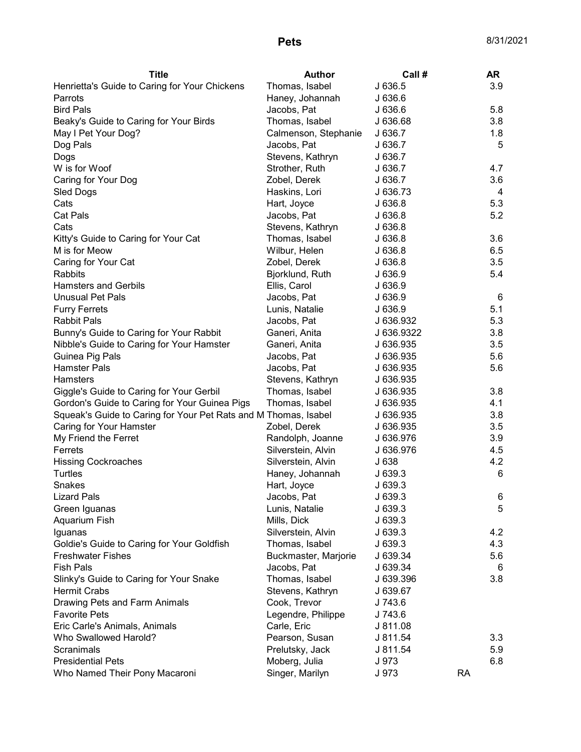| <b>Title</b>                                                    | <b>Author</b>        | Call #     |           | <b>AR</b> |
|-----------------------------------------------------------------|----------------------|------------|-----------|-----------|
| Henrietta's Guide to Caring for Your Chickens                   | Thomas, Isabel       | J 636.5    |           | 3.9       |
| Parrots                                                         | Haney, Johannah      | J636.6     |           |           |
| <b>Bird Pals</b>                                                | Jacobs, Pat          | J 636.6    |           | 5.8       |
| Beaky's Guide to Caring for Your Birds                          | Thomas, Isabel       | J 636.68   |           | 3.8       |
| May I Pet Your Dog?                                             | Calmenson, Stephanie | J 636.7    |           | 1.8       |
| Dog Pals                                                        | Jacobs, Pat          | J 636.7    |           | 5         |
| Dogs                                                            | Stevens, Kathryn     | J 636.7    |           |           |
| W is for Woof                                                   | Strother, Ruth       | J 636.7    |           | 4.7       |
| Caring for Your Dog                                             | Zobel, Derek         | J 636.7    |           | 3.6       |
| Sled Dogs                                                       | Haskins, Lori        | J 636.73   |           | 4         |
| Cats                                                            | Hart, Joyce          | J 636.8    |           | 5.3       |
| <b>Cat Pals</b>                                                 | Jacobs, Pat          | J 636.8    |           | 5.2       |
| Cats                                                            | Stevens, Kathryn     | J636.8     |           |           |
| Kitty's Guide to Caring for Your Cat                            | Thomas, Isabel       | J636.8     |           | 3.6       |
| M is for Meow                                                   | Wilbur, Helen        | J 636.8    |           | 6.5       |
| Caring for Your Cat                                             | Zobel, Derek         | J 636.8    |           | 3.5       |
| <b>Rabbits</b>                                                  | Bjorklund, Ruth      | J 636.9    |           | 5.4       |
| <b>Hamsters and Gerbils</b>                                     | Ellis, Carol         | J 636.9    |           |           |
| <b>Unusual Pet Pals</b>                                         | Jacobs, Pat          | J 636.9    |           | 6         |
| <b>Furry Ferrets</b>                                            | Lunis, Natalie       | J 636.9    |           | 5.1       |
| <b>Rabbit Pals</b>                                              | Jacobs, Pat          | J 636.932  |           | 5.3       |
| Bunny's Guide to Caring for Your Rabbit                         | Ganeri, Anita        | J 636.9322 |           | 3.8       |
| Nibble's Guide to Caring for Your Hamster                       | Ganeri, Anita        | J 636.935  |           | 3.5       |
| Guinea Pig Pals                                                 | Jacobs, Pat          | J 636.935  |           | 5.6       |
| <b>Hamster Pals</b>                                             | Jacobs, Pat          | J 636.935  |           | 5.6       |
| Hamsters                                                        | Stevens, Kathryn     | J 636.935  |           |           |
| Giggle's Guide to Caring for Your Gerbil                        | Thomas, Isabel       | J 636.935  |           | 3.8       |
| Gordon's Guide to Caring for Your Guinea Pigs                   | Thomas, Isabel       | J 636.935  |           | 4.1       |
| Squeak's Guide to Caring for Your Pet Rats and M Thomas, Isabel |                      | J 636.935  |           | 3.8       |
| Caring for Your Hamster                                         | Zobel, Derek         | J 636.935  |           | 3.5       |
| My Friend the Ferret                                            | Randolph, Joanne     | J 636.976  |           | 3.9       |
| Ferrets                                                         | Silverstein, Alvin   | J 636.976  |           | 4.5       |
| <b>Hissing Cockroaches</b>                                      | Silverstein, Alvin   | J 638      |           | 4.2       |
| Turtles                                                         | Haney, Johannah      | J 639.3    |           | 6         |
| Snakes                                                          | Hart, Joyce          | J 639.3    |           |           |
| <b>Lizard Pals</b>                                              | Jacobs, Pat          | J 639.3    |           | 6         |
| Green Iguanas                                                   | Lunis, Natalie       | J 639.3    |           | 5         |
| Aquarium Fish                                                   | Mills, Dick          | J 639.3    |           |           |
| Iguanas                                                         | Silverstein, Alvin   | J 639.3    |           | 4.2       |
| Goldie's Guide to Caring for Your Goldfish                      | Thomas, Isabel       | J 639.3    |           | 4.3       |
| <b>Freshwater Fishes</b>                                        | Buckmaster, Marjorie | J 639.34   |           | 5.6       |
| <b>Fish Pals</b>                                                | Jacobs, Pat          | J 639.34   |           | 6         |
| Slinky's Guide to Caring for Your Snake                         | Thomas, Isabel       | J 639.396  |           | 3.8       |
| <b>Hermit Crabs</b>                                             | Stevens, Kathryn     | J 639.67   |           |           |
| Drawing Pets and Farm Animals                                   | Cook, Trevor         | J 743.6    |           |           |
| <b>Favorite Pets</b>                                            | Legendre, Philippe   | J 743.6    |           |           |
| Eric Carle's Animals, Animals                                   | Carle, Eric          | J 811.08   |           |           |
| Who Swallowed Harold?                                           | Pearson, Susan       | J 811.54   |           | 3.3       |
| Scranimals                                                      | Prelutsky, Jack      | J 811.54   |           | 5.9       |
| <b>Presidential Pets</b>                                        | Moberg, Julia        | J 973      |           | 6.8       |
| Who Named Their Pony Macaroni                                   | Singer, Marilyn      | J 973      | <b>RA</b> |           |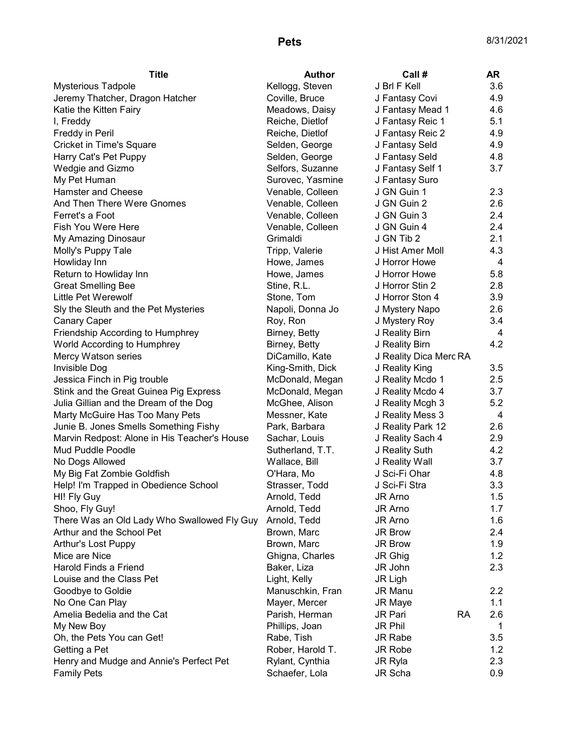| <b>Title</b>                                 | <b>Author</b>                   | Call #                 | AR         |
|----------------------------------------------|---------------------------------|------------------------|------------|
| <b>Mysterious Tadpole</b>                    | Kellogg, Steven                 | J Brl F Kell           | 3.6        |
| Jeremy Thatcher, Dragon Hatcher              | Coville, Bruce                  | J Fantasy Covi         | 4.9        |
| Katie the Kitten Fairy                       | Meadows, Daisy                  | J Fantasy Mead 1       | 4.6        |
| I, Freddy                                    | Reiche, Dietlof                 | J Fantasy Reic 1       | 5.1        |
| Freddy in Peril                              | Reiche, Dietlof                 | J Fantasy Reic 2       | 4.9        |
| Cricket in Time's Square                     | Selden, George                  | J Fantasy Seld         | 4.9        |
| Harry Cat's Pet Puppy                        | Selden, George                  | J Fantasy Seld         | 4.8        |
| Wedgie and Gizmo                             | Selfors, Suzanne                | J Fantasy Self 1       | 3.7        |
| My Pet Human                                 | Surovec, Yasmine                | J Fantasy Suro         |            |
| <b>Hamster and Cheese</b>                    | Venable, Colleen                | J GN Guin 1            | 2.3        |
| And Then There Were Gnomes                   | Venable, Colleen                | J GN Guin 2            | 2.6        |
| Ferret's a Foot                              | Venable, Colleen                | J GN Guin 3            | 2.4        |
| Fish You Were Here                           | Venable, Colleen                | J GN Guin 4            | 2.4        |
| My Amazing Dinosaur                          | Grimaldi                        | J GN Tib 2             | 2.1        |
| Molly's Puppy Tale                           | Tripp, Valerie                  | J Hist Amer Moll       | 4.3        |
| Howliday Inn                                 | Howe, James                     | J Horror Howe          | 4          |
| Return to Howliday Inn                       | Howe, James                     | J Horror Howe          | 5.8        |
| <b>Great Smelling Bee</b>                    | Stine, R.L.                     | J Horror Stin 2        | 2.8        |
| Little Pet Werewolf                          | Stone, Tom                      | J Horror Ston 4        | 3.9        |
| Sly the Sleuth and the Pet Mysteries         | Napoli, Donna Jo                | J Mystery Napo         | 2.6        |
| <b>Canary Caper</b>                          | Roy, Ron                        | J Mystery Roy          | 3.4        |
| Friendship According to Humphrey             | Birney, Betty                   | J Reality Birn         | 4          |
| World According to Humphrey                  | Birney, Betty                   | J Reality Birn         | 4.2        |
| Mercy Watson series                          | DiCamillo, Kate                 | J Reality Dica Merc RA |            |
| Invisible Dog                                | King-Smith, Dick                | J Reality King         | 3.5        |
| Jessica Finch in Pig trouble                 | McDonald, Megan                 | J Reality Mcdo 1       | 2.5        |
| Stink and the Great Guinea Pig Express       | McDonald, Megan                 | J Reality Mcdo 4       | 3.7        |
| Julia Gillian and the Dream of the Dog       | McGhee, Alison                  | J Reality Mcgh 3       | 5.2        |
| Marty McGuire Has Too Many Pets              | Messner, Kate                   | J Reality Mess 3       | 4          |
| Junie B. Jones Smells Something Fishy        | Park, Barbara                   | J Reality Park 12      | 2.6        |
| Marvin Redpost: Alone in His Teacher's House | Sachar, Louis                   | J Reality Sach 4       | 2.9        |
| Mud Puddle Poodle                            | Sutherland, T.T.                | J Reality Suth         | 4.2        |
| No Dogs Allowed                              | Wallace, Bill                   | J Reality Wall         | 3.7        |
| My Big Fat Zombie Goldfish                   | O'Hara, Mo                      | J Sci-Fi Ohar          | 4.8        |
| Help! I'm Trapped in Obedience School        | Strasser, Todd                  | J Sci-Fi Stra          | 3.3        |
| HI! Fly Guy                                  | Arnold, Tedd                    | JR Arno                | 1.5        |
| Shoo, Fly Guy!                               | Arnold, Tedd                    | JR Arno                | 1.7        |
| There Was an Old Lady Who Swallowed Fly Guy  | Arnold, Tedd                    | JR Arno                | 1.6        |
| Arthur and the School Pet                    | Brown, Marc                     | JR Brow                | 2.4        |
| Arthur's Lost Puppy                          | Brown, Marc                     | JR Brow                | 1.9        |
| Mice are Nice                                | Ghigna, Charles                 | JR Ghig                | 1.2        |
| Harold Finds a Friend                        | Baker, Liza                     | JR John                | 2.3        |
| Louise and the Class Pet                     | Light, Kelly                    |                        |            |
|                                              |                                 | JR Ligh<br>JR Manu     |            |
| Goodbye to Goldie                            | Manuschkin, Fran                |                        | 2.2<br>1.1 |
| No One Can Play                              | Mayer, Mercer<br>Parish, Herman | <b>JR Maye</b>         |            |
| Amelia Bedelia and the Cat                   |                                 | <b>RA</b><br>JR Pari   | 2.6        |
| My New Boy                                   | Phillips, Joan                  | JR Phil                | 1          |
| Oh, the Pets You can Get!                    | Rabe, Tish                      | JR Rabe                | 3.5        |
| Getting a Pet                                | Rober, Harold T.                | JR Robe                | 1.2        |
| Henry and Mudge and Annie's Perfect Pet      | Rylant, Cynthia                 | JR Ryla                | 2.3        |
| <b>Family Pets</b>                           | Schaefer, Lola                  | JR Scha                | 0.9        |